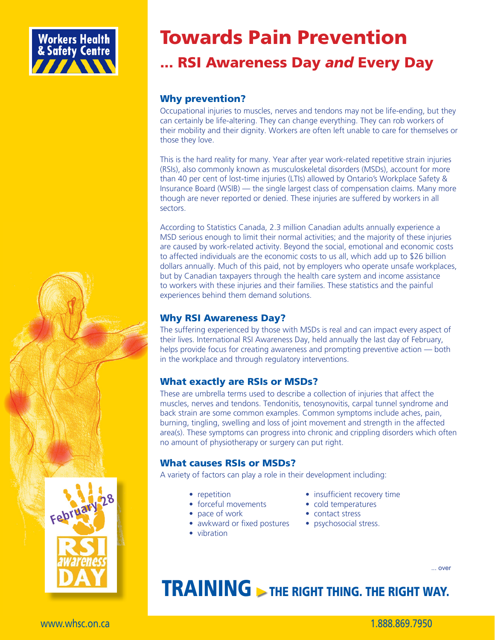

## Towards Pain Prevention

### ... RSI Awareness Day *and* Every Day

#### Why prevention?

Occupational injuries to muscles, nerves and tendons may not be life-ending, but they can certainly be life-altering. They can change everything. They can rob workers of their mobility and their dignity. Workers are often left unable to care for themselves or those they love.

This is the hard reality for many. Year after year work-related repetitive strain injuries (RSIs), also commonly known as musculoskeletal disorders (MSDs), account for more than 40 per cent of lost-time injuries (LTIs) allowed by Ontario's Workplace Safety & Insurance Board (WSIB) — the single largest class of compensation claims. Many more though are never reported or denied. These injuries are suffered by workers in all sectors.

According to Statistics Canada, 2.3 million Canadian adults annually experience a MSD serious enough to limit their normal activities; and the majority of these injuries are caused by work-related activity. Beyond the social, emotional and economic costs to affected individuals are the economic costs to us all, which add up to \$26 billion dollars annually. Much of this paid, not by employers who operate unsafe workplaces, but by Canadian taxpayers through the health care system and income assistance to workers with these injuries and their families. These statistics and the painful experiences behind them demand solutions.

#### Why RSI Awareness Day?

The suffering experienced by those with MSDs is real and can impact every aspect of their lives. International RSI Awareness Day, held annually the last day of February, helps provide focus for creating awareness and prompting preventive action — both in the workplace and through regulatory interventions.

#### What exactly are RSIs or MSDs?

These are umbrella terms used to describe a collection of injuries that affect the muscles, nerves and tendons. Tendonitis, tenosynovitis, carpal tunnel syndrome and back strain are some common examples. Common symptoms include aches, pain, burning, tingling, swelling and loss of joint movement and strength in the affected area(s). These symptoms can progress into chronic and crippling disorders which often no amount of physiotherapy or surgery can put right.

#### What causes RSIs or MSDs?

A variety of factors can play a role in their development including:

- 
- forceful movements cold temperatures
- pace of work contact stress
- awkward or fixed postures psychosocial stress.
- vibration
- repetition insufficient recovery time
	- -
		-

# **> THE RIGHT THING. THE RIGHT WAY.**

... over

Februa